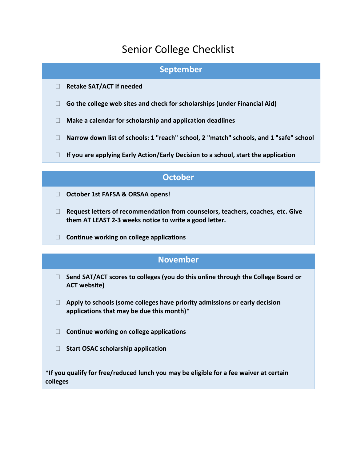# Senior College Checklist

#### **September**

- **Retake SAT/ACT if needed**
- **Go the college web sites and check for scholarships (under Financial Aid)**
- **Make a calendar for scholarship and application deadlines**
- **Narrow down list of schools: 1 "reach" school, 2 "match" schools, and 1 "safe" school**
- **If you are applying Early Action/Early Decision to a school, start the application**

#### **October**

- **October 1st FAFSA & ORSAA opens!**
- **Request letters of recommendation from counselors, teachers, coaches, etc. Give them AT LEAST 2-3 weeks notice to write a good letter.**
- **Continue working on college applications**

#### **November**

- **Send SAT/ACT scores to colleges (you do this online through the College Board or ACT website)**
- **Apply to schools (some colleges have priority admissions or early decision applications that may be due this month)\***
- **Continue working on college applications**
- **Start OSAC scholarship application**

**\*If you qualify for free/reduced lunch you may be eligible for a fee waiver at certain colleges**